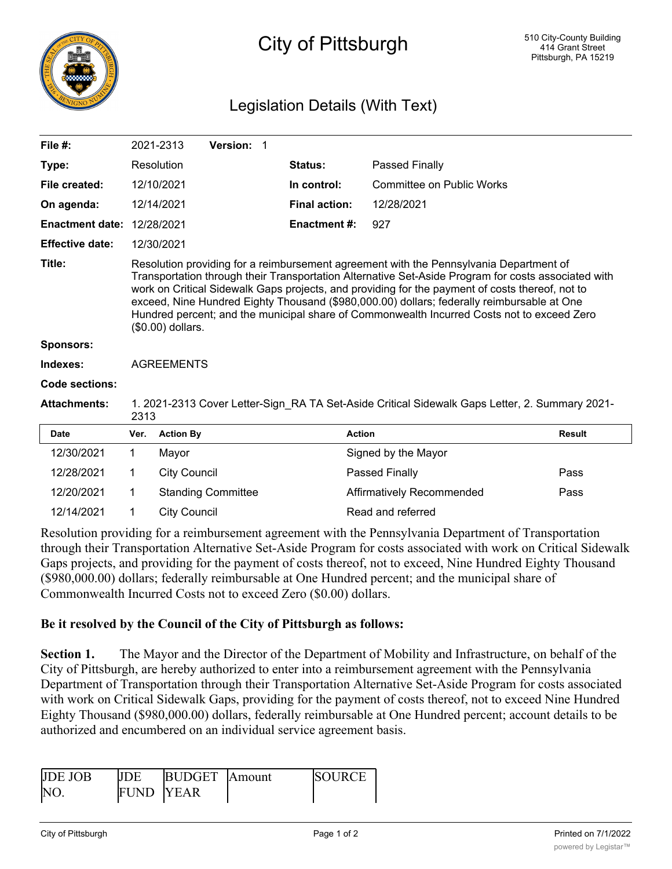

## City of Pittsburgh

## Legislation Details (With Text)

| File $#$ :             |                   | 2021-2313                                                                                                                                                                                                                                                                                                                                                                                                                                                                                                         | Version: 1                |                      |                                  |               |  |  |
|------------------------|-------------------|-------------------------------------------------------------------------------------------------------------------------------------------------------------------------------------------------------------------------------------------------------------------------------------------------------------------------------------------------------------------------------------------------------------------------------------------------------------------------------------------------------------------|---------------------------|----------------------|----------------------------------|---------------|--|--|
| Type:                  |                   | Resolution                                                                                                                                                                                                                                                                                                                                                                                                                                                                                                        |                           | Status:              | Passed Finally                   |               |  |  |
| File created:          |                   | 12/10/2021                                                                                                                                                                                                                                                                                                                                                                                                                                                                                                        |                           | In control:          | <b>Committee on Public Works</b> |               |  |  |
| On agenda:             |                   | 12/14/2021                                                                                                                                                                                                                                                                                                                                                                                                                                                                                                        |                           | <b>Final action:</b> | 12/28/2021                       |               |  |  |
| <b>Enactment date:</b> |                   | 12/28/2021                                                                                                                                                                                                                                                                                                                                                                                                                                                                                                        |                           | <b>Enactment #:</b>  | 927                              |               |  |  |
| <b>Effective date:</b> |                   | 12/30/2021                                                                                                                                                                                                                                                                                                                                                                                                                                                                                                        |                           |                      |                                  |               |  |  |
| Title:                 |                   | Resolution providing for a reimbursement agreement with the Pennsylvania Department of<br>Transportation through their Transportation Alternative Set-Aside Program for costs associated with<br>work on Critical Sidewalk Gaps projects, and providing for the payment of costs thereof, not to<br>exceed, Nine Hundred Eighty Thousand (\$980,000.00) dollars; federally reimbursable at One<br>Hundred percent; and the municipal share of Commonwealth Incurred Costs not to exceed Zero<br>(\$0.00) dollars. |                           |                      |                                  |               |  |  |
| <b>Sponsors:</b>       |                   |                                                                                                                                                                                                                                                                                                                                                                                                                                                                                                                   |                           |                      |                                  |               |  |  |
| Indexes:               | <b>AGREEMENTS</b> |                                                                                                                                                                                                                                                                                                                                                                                                                                                                                                                   |                           |                      |                                  |               |  |  |
| <b>Code sections:</b>  |                   |                                                                                                                                                                                                                                                                                                                                                                                                                                                                                                                   |                           |                      |                                  |               |  |  |
| <b>Attachments:</b>    |                   | 1. 2021-2313 Cover Letter-Sign RA TA Set-Aside Critical Sidewalk Gaps Letter, 2. Summary 2021-<br>2313                                                                                                                                                                                                                                                                                                                                                                                                            |                           |                      |                                  |               |  |  |
| <b>Date</b>            | Ver.              | <b>Action By</b>                                                                                                                                                                                                                                                                                                                                                                                                                                                                                                  |                           |                      | <b>Action</b>                    | <b>Result</b> |  |  |
| 12/30/2021             | 1                 | Mayor                                                                                                                                                                                                                                                                                                                                                                                                                                                                                                             |                           |                      | Signed by the Mayor              |               |  |  |
| 12/28/2021             | 1                 | <b>City Council</b>                                                                                                                                                                                                                                                                                                                                                                                                                                                                                               |                           |                      | Passed Finally                   | Pass          |  |  |
| 12/20/2021             | 1                 |                                                                                                                                                                                                                                                                                                                                                                                                                                                                                                                   | <b>Standing Committee</b> |                      | Affirmatively Recommended        | Pass          |  |  |
| 12/14/2021             | 1                 | <b>City Council</b>                                                                                                                                                                                                                                                                                                                                                                                                                                                                                               |                           |                      | Read and referred                |               |  |  |

Resolution providing for a reimbursement agreement with the Pennsylvania Department of Transportation through their Transportation Alternative Set-Aside Program for costs associated with work on Critical Sidewalk Gaps projects, and providing for the payment of costs thereof, not to exceed, Nine Hundred Eighty Thousand (\$980,000.00) dollars; federally reimbursable at One Hundred percent; and the municipal share of Commonwealth Incurred Costs not to exceed Zero (\$0.00) dollars.

## **Be it resolved by the Council of the City of Pittsburgh as follows:**

**Section 1.** The Mayor and the Director of the Department of Mobility and Infrastructure, on behalf of the City of Pittsburgh, are hereby authorized to enter into a reimbursement agreement with the Pennsylvania Department of Transportation through their Transportation Alternative Set-Aside Program for costs associated with work on Critical Sidewalk Gaps, providing for the payment of costs thereof, not to exceed Nine Hundred Eighty Thousand (\$980,000.00) dollars, federally reimbursable at One Hundred percent; account details to be authorized and encumbered on an individual service agreement basis.

| <b>IIDE IOB</b> | III)F             | BUDGET Amount | ISOLIRCE |
|-----------------|-------------------|---------------|----------|
| <b>NO</b>       | <b>FUND IYEAR</b> |               |          |